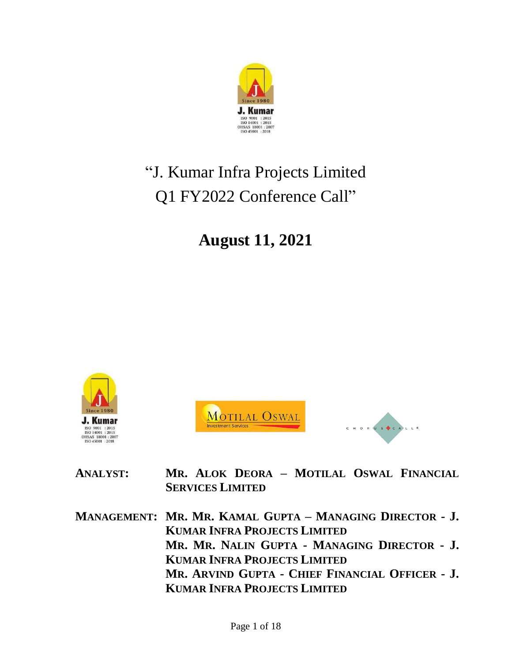

# "J. Kumar Infra Projects Limited Q1 FY2022 Conference Call"

# **August 11, 2021**







**ANALYST: MR. ALOK DEORA – MOTILAL OSWAL FINANCIAL SERVICES LIMITED**

**MANAGEMENT: MR. MR. KAMAL GUPTA – MANAGING DIRECTOR - J. KUMAR INFRA PROJECTS LIMITED MR. MR. NALIN GUPTA - MANAGING DIRECTOR - J. KUMAR INFRA PROJECTS LIMITED MR. ARVIND GUPTA - CHIEF FINANCIAL OFFICER - J. KUMAR INFRA PROJECTS LIMITED**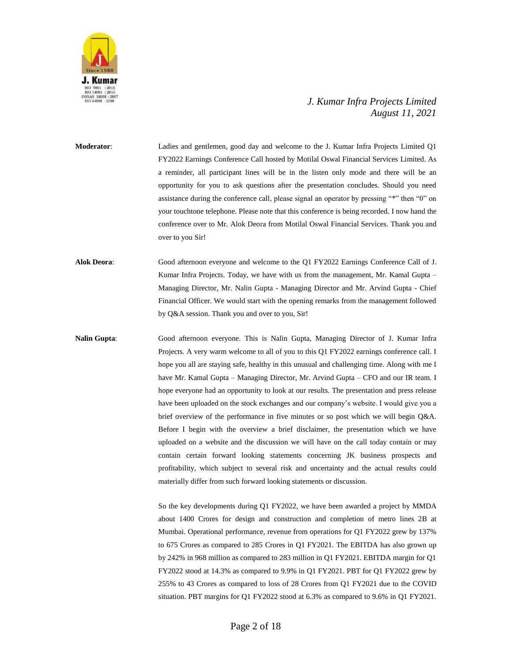

**Moderator**: Ladies and gentlemen, good day and welcome to the J. Kumar Infra Projects Limited Q1 FY2022 Earnings Conference Call hosted by Motilal Oswal Financial Services Limited. As a reminder, all participant lines will be in the listen only mode and there will be an opportunity for you to ask questions after the presentation concludes. Should you need assistance during the conference call, please signal an operator by pressing "\*" then "0" on your touchtone telephone. Please note that this conference is being recorded. I now hand the conference over to Mr. Alok Deora from Motilal Oswal Financial Services. Thank you and over to you Sir!

**Alok Deora**: Good afternoon everyone and welcome to the Q1 FY2022 Earnings Conference Call of J. Kumar Infra Projects. Today, we have with us from the management, Mr. Kamal Gupta – Managing Director, Mr. Nalin Gupta - Managing Director and Mr. Arvind Gupta - Chief Financial Officer. We would start with the opening remarks from the management followed by Q&A session. Thank you and over to you, Sir!

**Nalin Gupta**: Good afternoon everyone. This is Nalin Gupta, Managing Director of J. Kumar Infra Projects. A very warm welcome to all of you to this Q1 FY2022 earnings conference call. I hope you all are staying safe, healthy in this unusual and challenging time. Along with me I have Mr. Kamal Gupta – Managing Director, Mr. Arvind Gupta – CFO and our IR team. I hope everyone had an opportunity to look at our results. The presentation and press release have been uploaded on the stock exchanges and our company's website. I would give you a brief overview of the performance in five minutes or so post which we will begin Q&A. Before I begin with the overview a brief disclaimer, the presentation which we have uploaded on a website and the discussion we will have on the call today contain or may contain certain forward looking statements concerning JK business prospects and profitability, which subject to several risk and uncertainty and the actual results could materially differ from such forward looking statements or discussion.

> So the key developments during Q1 FY2022, we have been awarded a project by MMDA about 1400 Crores for design and construction and completion of metro lines 2B at Mumbai. Operational performance, revenue from operations for Q1 FY2022 grew by 137% to 675 Crores as compared to 285 Crores in Q1 FY2021. The EBITDA has also grown up by 242% in 968 million as compared to 283 million in Q1 FY2021. EBITDA margin for Q1 FY2022 stood at 14.3% as compared to 9.9% in Q1 FY2021. PBT for Q1 FY2022 grew by 255% to 43 Crores as compared to loss of 28 Crores from Q1 FY2021 due to the COVID situation. PBT margins for Q1 FY2022 stood at 6.3% as compared to 9.6% in Q1 FY2021.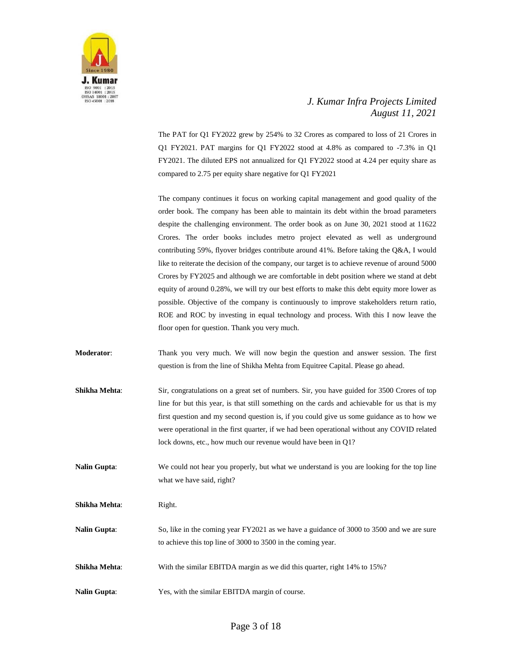

The PAT for Q1 FY2022 grew by 254% to 32 Crores as compared to loss of 21 Crores in Q1 FY2021. PAT margins for Q1 FY2022 stood at 4.8% as compared to -7.3% in Q1 FY2021. The diluted EPS not annualized for Q1 FY2022 stood at 4.24 per equity share as compared to 2.75 per equity share negative for Q1 FY2021

The company continues it focus on working capital management and good quality of the order book. The company has been able to maintain its debt within the broad parameters despite the challenging environment. The order book as on June 30, 2021 stood at 11622 Crores. The order books includes metro project elevated as well as underground contributing 59%, flyover bridges contribute around 41%. Before taking the Q&A, I would like to reiterate the decision of the company, our target is to achieve revenue of around 5000 Crores by FY2025 and although we are comfortable in debt position where we stand at debt equity of around 0.28%, we will try our best efforts to make this debt equity more lower as possible. Objective of the company is continuously to improve stakeholders return ratio, ROE and ROC by investing in equal technology and process. With this I now leave the floor open for question. Thank you very much.

**Moderator:** Thank you very much. We will now begin the question and answer session. The first question is from the line of Shikha Mehta from Equitree Capital. Please go ahead.

**Shikha Mehta:** Sir, congratulations on a great set of numbers. Sir, you have guided for 3500 Crores of top line for but this year, is that still something on the cards and achievable for us that is my first question and my second question is, if you could give us some guidance as to how we were operational in the first quarter, if we had been operational without any COVID related lock downs, etc., how much our revenue would have been in Q1?

**Nalin Gupta:** We could not hear you properly, but what we understand is you are looking for the top line what we have said, right?

**Shikha Mehta:** Right.

**Nalin Gupta:** So, like in the coming year FY2021 as we have a guidance of 3000 to 3500 and we are sure to achieve this top line of 3000 to 3500 in the coming year.

- **Shikha Mehta:** With the similar EBITDA margin as we did this quarter, right 14% to 15%?
- **Nalin Gupta**: Yes, with the similar EBITDA margin of course.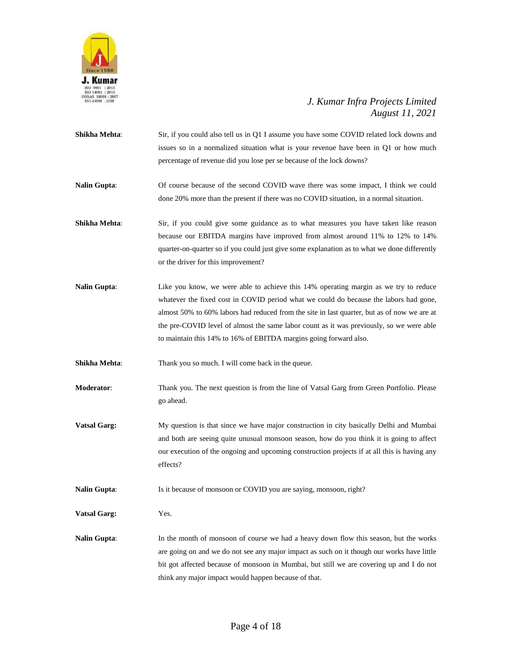

- **Shikha Mehta:** Sir, if you could also tell us in Q1 I assume you have some COVID related lock downs and issues so in a normalized situation what is your revenue have been in Q1 or how much percentage of revenue did you lose per se because of the lock downs?
- **Nalin Gupta**: Of course because of the second COVID wave there was some impact, I think we could done 20% more than the present if there was no COVID situation, in a normal situation.
- **Shikha Mehta**: Sir, if you could give some guidance as to what measures you have taken like reason because our EBITDA margins have improved from almost around 11% to 12% to 14% quarter-on-quarter so if you could just give some explanation as to what we done differently or the driver for this improvement?
- **Nalin Gupta:** Like you know, we were able to achieve this 14% operating margin as we try to reduce whatever the fixed cost in COVID period what we could do because the labors had gone, almost 50% to 60% labors had reduced from the site in last quarter, but as of now we are at the pre-COVID level of almost the same labor count as it was previously, so we were able to maintain this 14% to 16% of EBITDA margins going forward also.

**Shikha Mehta:** Thank you so much. I will come back in the queue.

- **Moderator**: Thank you. The next question is from the line of Vatsal Garg from Green Portfolio. Please go ahead.
- **Vatsal Garg:** My question is that since we have major construction in city basically Delhi and Mumbai and both are seeing quite unusual monsoon season, how do you think it is going to affect our execution of the ongoing and upcoming construction projects if at all this is having any effects?
- **Nalin Gupta:** Is it because of monsoon or COVID you are saying, monsoon, right?
- **Vatsal Garg:** Yes.
- Nalin Gupta: In the month of monsoon of course we had a heavy down flow this season, but the works are going on and we do not see any major impact as such on it though our works have little bit got affected because of monsoon in Mumbai, but still we are covering up and I do not think any major impact would happen because of that.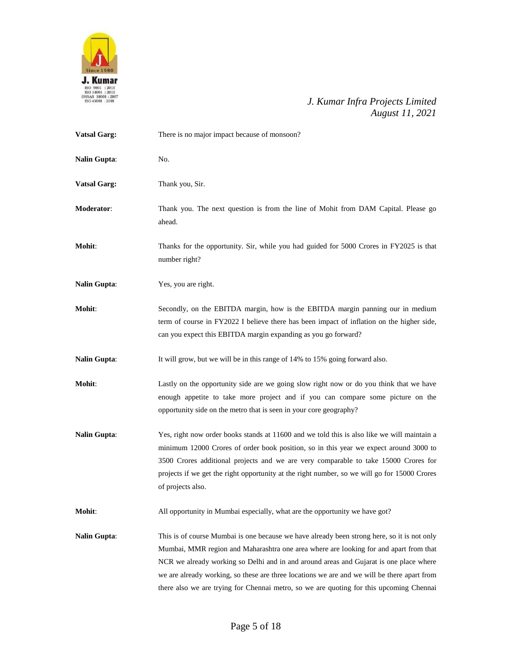

| <b>Vatsal Garg:</b> | There is no major impact because of monsoon?                                                                                                                                                                                                                                                                                                                                                                                                                             |  |  |
|---------------------|--------------------------------------------------------------------------------------------------------------------------------------------------------------------------------------------------------------------------------------------------------------------------------------------------------------------------------------------------------------------------------------------------------------------------------------------------------------------------|--|--|
| <b>Nalin Gupta:</b> | No.                                                                                                                                                                                                                                                                                                                                                                                                                                                                      |  |  |
| <b>Vatsal Garg:</b> | Thank you, Sir.                                                                                                                                                                                                                                                                                                                                                                                                                                                          |  |  |
| Moderator:          | Thank you. The next question is from the line of Mohit from DAM Capital. Please go<br>ahead.                                                                                                                                                                                                                                                                                                                                                                             |  |  |
| Mohit:              | Thanks for the opportunity. Sir, while you had guided for 5000 Crores in FY2025 is that<br>number right?                                                                                                                                                                                                                                                                                                                                                                 |  |  |
| <b>Nalin Gupta:</b> | Yes, you are right.                                                                                                                                                                                                                                                                                                                                                                                                                                                      |  |  |
| Mohit:              | Secondly, on the EBITDA margin, how is the EBITDA margin panning our in medium<br>term of course in FY2022 I believe there has been impact of inflation on the higher side,<br>can you expect this EBITDA margin expanding as you go forward?                                                                                                                                                                                                                            |  |  |
| <b>Nalin Gupta:</b> | It will grow, but we will be in this range of 14% to 15% going forward also.                                                                                                                                                                                                                                                                                                                                                                                             |  |  |
| <b>Mohit:</b>       | Lastly on the opportunity side are we going slow right now or do you think that we have<br>enough appetite to take more project and if you can compare some picture on the<br>opportunity side on the metro that is seen in your core geography?                                                                                                                                                                                                                         |  |  |
| <b>Nalin Gupta:</b> | Yes, right now order books stands at 11600 and we told this is also like we will maintain a<br>minimum 12000 Crores of order book position, so in this year we expect around 3000 to<br>3500 Crores additional projects and we are very comparable to take 15000 Crores for<br>projects if we get the right opportunity at the right number, so we will go for 15000 Crores<br>of projects also.                                                                         |  |  |
| Mohit:              | All opportunity in Mumbai especially, what are the opportunity we have got?                                                                                                                                                                                                                                                                                                                                                                                              |  |  |
| <b>Nalin Gupta:</b> | This is of course Mumbai is one because we have already been strong here, so it is not only<br>Mumbai, MMR region and Maharashtra one area where are looking for and apart from that<br>NCR we already working so Delhi and in and around areas and Gujarat is one place where<br>we are already working, so these are three locations we are and we will be there apart from<br>there also we are trying for Chennai metro, so we are quoting for this upcoming Chennai |  |  |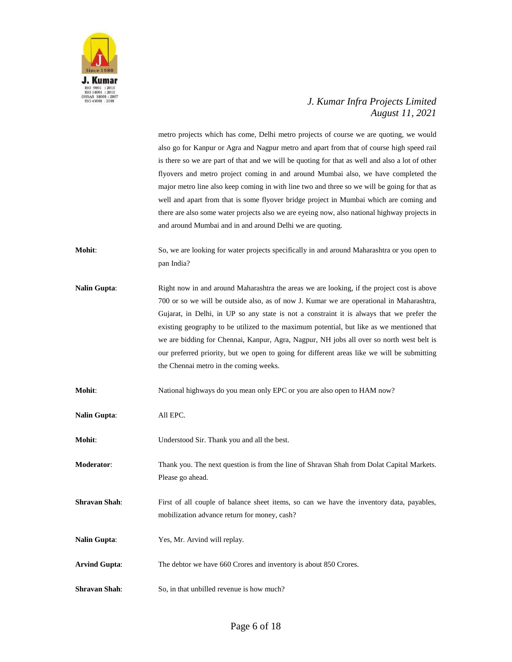

metro projects which has come, Delhi metro projects of course we are quoting, we would also go for Kanpur or Agra and Nagpur metro and apart from that of course high speed rail is there so we are part of that and we will be quoting for that as well and also a lot of other flyovers and metro project coming in and around Mumbai also, we have completed the major metro line also keep coming in with line two and three so we will be going for that as well and apart from that is some flyover bridge project in Mumbai which are coming and there are also some water projects also we are eyeing now, also national highway projects in and around Mumbai and in and around Delhi we are quoting.

- **Mohit**: So, we are looking for water projects specifically in and around Maharashtra or you open to pan India?
- **Nalin Gupta**: Right now in and around Maharashtra the areas we are looking, if the project cost is above 700 or so we will be outside also, as of now J. Kumar we are operational in Maharashtra, Gujarat, in Delhi, in UP so any state is not a constraint it is always that we prefer the existing geography to be utilized to the maximum potential, but like as we mentioned that we are bidding for Chennai, Kanpur, Agra, Nagpur, NH jobs all over so north west belt is our preferred priority, but we open to going for different areas like we will be submitting the Chennai metro in the coming weeks.

**Mohit:** National highways do you mean only EPC or you are also open to HAM now?

- **Nalin Gupta**: All EPC.
- **Mohit**: Understood Sir. Thank you and all the best.

**Moderator**: Thank you. The next question is from the line of Shravan Shah from Dolat Capital Markets. Please go ahead.

- **Shravan Shah:** First of all couple of balance sheet items, so can we have the inventory data, payables, mobilization advance return for money, cash?
- **Nalin Gupta**: Yes, Mr. Arvind will replay.
- **Arvind Gupta**: The debtor we have 660 Crores and inventory is about 850 Crores.
- **Shravan Shah:** So, in that unbilled revenue is how much?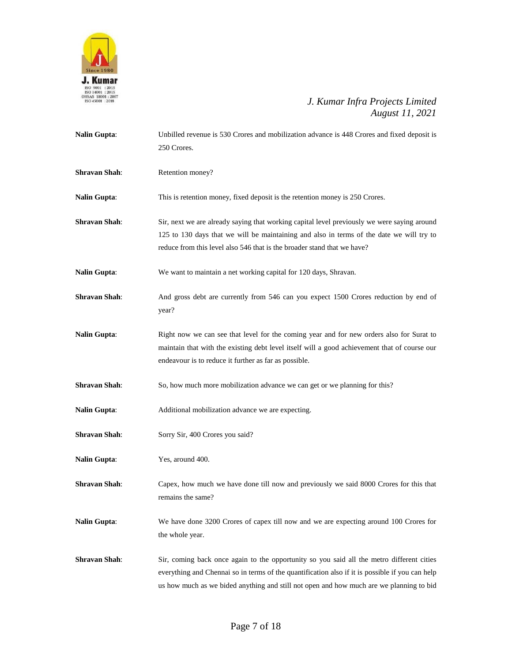

| <b>Nalin Gupta:</b>  | Unbilled revenue is 530 Crores and mobilization advance is 448 Crores and fixed deposit is<br>250 Crores.                                                                                                                                                                               |  |
|----------------------|-----------------------------------------------------------------------------------------------------------------------------------------------------------------------------------------------------------------------------------------------------------------------------------------|--|
| <b>Shravan Shah:</b> | Retention money?                                                                                                                                                                                                                                                                        |  |
| <b>Nalin Gupta:</b>  | This is retention money, fixed deposit is the retention money is 250 Crores.                                                                                                                                                                                                            |  |
| <b>Shravan Shah:</b> | Sir, next we are already saying that working capital level previously we were saying around<br>125 to 130 days that we will be maintaining and also in terms of the date we will try to<br>reduce from this level also 546 that is the broader stand that we have?                      |  |
| <b>Nalin Gupta:</b>  | We want to maintain a net working capital for 120 days, Shravan.                                                                                                                                                                                                                        |  |
| <b>Shravan Shah:</b> | And gross debt are currently from 546 can you expect 1500 Crores reduction by end of<br>year?                                                                                                                                                                                           |  |
| <b>Nalin Gupta:</b>  | Right now we can see that level for the coming year and for new orders also for Surat to<br>maintain that with the existing debt level itself will a good achievement that of course our<br>endeavour is to reduce it further as far as possible.                                       |  |
| <b>Shravan Shah:</b> | So, how much more mobilization advance we can get or we planning for this?                                                                                                                                                                                                              |  |
| <b>Nalin Gupta:</b>  | Additional mobilization advance we are expecting.                                                                                                                                                                                                                                       |  |
| <b>Shravan Shah:</b> | Sorry Sir, 400 Crores you said?                                                                                                                                                                                                                                                         |  |
| <b>Nalin Gupta:</b>  | Yes, around 400.                                                                                                                                                                                                                                                                        |  |
| <b>Shravan Shah:</b> | Capex, how much we have done till now and previously we said 8000 Crores for this that<br>remains the same?                                                                                                                                                                             |  |
| <b>Nalin Gupta:</b>  | We have done 3200 Crores of capex till now and we are expecting around 100 Crores for<br>the whole year.                                                                                                                                                                                |  |
| <b>Shravan Shah:</b> | Sir, coming back once again to the opportunity so you said all the metro different cities<br>everything and Chennai so in terms of the quantification also if it is possible if you can help<br>us how much as we bided anything and still not open and how much are we planning to bid |  |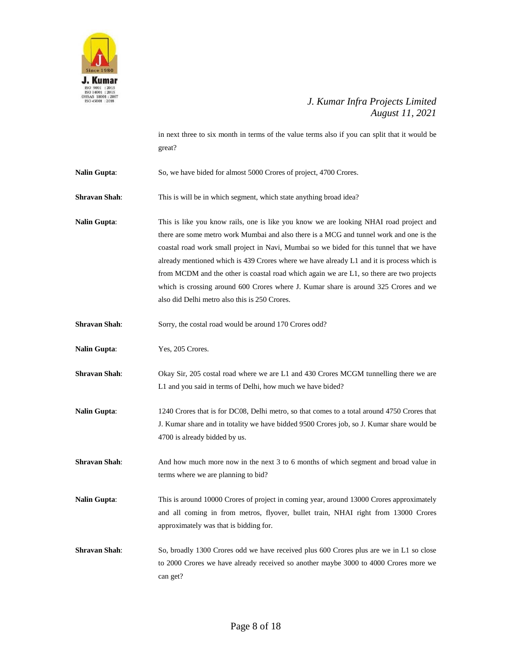

in next three to six month in terms of the value terms also if you can split that it would be great?

Nalin Gupta: So, we have bided for almost 5000 Crores of project, 4700 Crores.

**Shravan Shah**: This is will be in which segment, which state anything broad idea?

**Nalin Gupta**: This is like you know rails, one is like you know we are looking NHAI road project and there are some metro work Mumbai and also there is a MCG and tunnel work and one is the coastal road work small project in Navi, Mumbai so we bided for this tunnel that we have already mentioned which is 439 Crores where we have already L1 and it is process which is from MCDM and the other is coastal road which again we are L1, so there are two projects which is crossing around 600 Crores where J. Kumar share is around 325 Crores and we also did Delhi metro also this is 250 Crores.

**Shravan Shah:** Sorry, the costal road would be around 170 Crores odd?

**Nalin Gupta**: Yes, 205 Crores.

**Shravan Shah**: Okay Sir, 205 costal road where we are L1 and 430 Crores MCGM tunnelling there we are L1 and you said in terms of Delhi, how much we have bided?

**Nalin Gupta**: 1240 Crores that is for DC08, Delhi metro, so that comes to a total around 4750 Crores that J. Kumar share and in totality we have bidded 9500 Crores job, so J. Kumar share would be 4700 is already bidded by us.

**Shravan Shah**: And how much more now in the next 3 to 6 months of which segment and broad value in terms where we are planning to bid?

**Nalin Gupta**: This is around 10000 Crores of project in coming year, around 13000 Crores approximately and all coming in from metros, flyover, bullet train, NHAI right from 13000 Crores approximately was that is bidding for.

**Shravan Shah**: So, broadly 1300 Crores odd we have received plus 600 Crores plus are we in L1 so close to 2000 Crores we have already received so another maybe 3000 to 4000 Crores more we can get?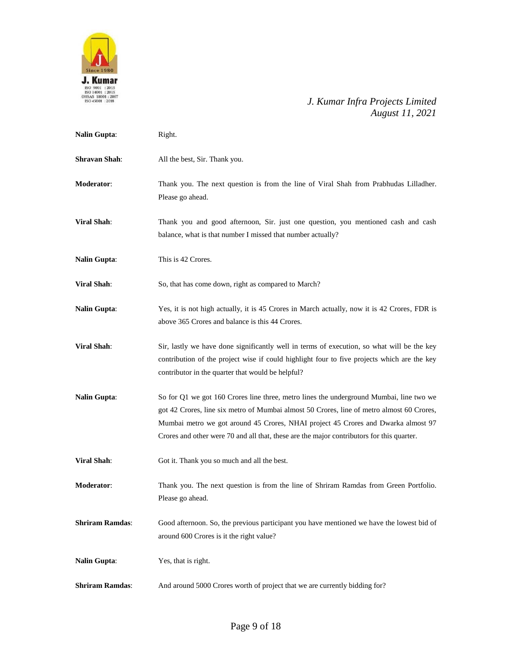

| Nalin Gupta:           | Right.                                                                                                                                                                                                                                                                                                                                                                 |  |
|------------------------|------------------------------------------------------------------------------------------------------------------------------------------------------------------------------------------------------------------------------------------------------------------------------------------------------------------------------------------------------------------------|--|
| <b>Shravan Shah:</b>   | All the best, Sir. Thank you.                                                                                                                                                                                                                                                                                                                                          |  |
| Moderator:             | Thank you. The next question is from the line of Viral Shah from Prabhudas Lilladher.<br>Please go ahead.                                                                                                                                                                                                                                                              |  |
| <b>Viral Shah:</b>     | Thank you and good afternoon, Sir. just one question, you mentioned cash and cash<br>balance, what is that number I missed that number actually?                                                                                                                                                                                                                       |  |
| <b>Nalin Gupta:</b>    | This is 42 Crores.                                                                                                                                                                                                                                                                                                                                                     |  |
| <b>Viral Shah:</b>     | So, that has come down, right as compared to March?                                                                                                                                                                                                                                                                                                                    |  |
| <b>Nalin Gupta:</b>    | Yes, it is not high actually, it is 45 Crores in March actually, now it is 42 Crores, FDR is<br>above 365 Crores and balance is this 44 Crores.                                                                                                                                                                                                                        |  |
| <b>Viral Shah:</b>     | Sir, lastly we have done significantly well in terms of execution, so what will be the key<br>contribution of the project wise if could highlight four to five projects which are the key<br>contributor in the quarter that would be helpful?                                                                                                                         |  |
| Nalin Gupta:           | So for Q1 we got 160 Crores line three, metro lines the underground Mumbai, line two we<br>got 42 Crores, line six metro of Mumbai almost 50 Crores, line of metro almost 60 Crores,<br>Mumbai metro we got around 45 Crores, NHAI project 45 Crores and Dwarka almost 97<br>Crores and other were 70 and all that, these are the major contributors for this quarter. |  |
| <b>Viral Shah:</b>     | Got it. Thank you so much and all the best.                                                                                                                                                                                                                                                                                                                            |  |
| Moderator:             | Thank you. The next question is from the line of Shriram Ramdas from Green Portfolio.<br>Please go ahead.                                                                                                                                                                                                                                                              |  |
| <b>Shriram Ramdas:</b> | Good afternoon. So, the previous participant you have mentioned we have the lowest bid of<br>around 600 Crores is it the right value?                                                                                                                                                                                                                                  |  |
| <b>Nalin Gupta:</b>    | Yes, that is right.                                                                                                                                                                                                                                                                                                                                                    |  |
| <b>Shriram Ramdas:</b> | And around 5000 Crores worth of project that we are currently bidding for?                                                                                                                                                                                                                                                                                             |  |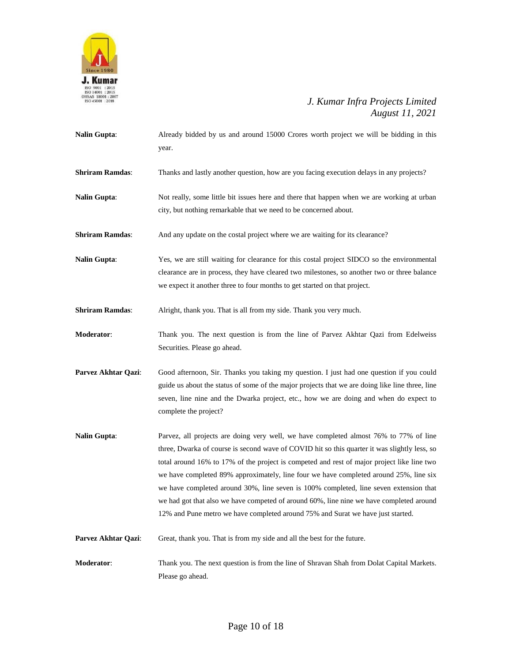

| <b>Nalin Gupta:</b>    | Already bidded by us and around 15000 Crores worth project we will be bidding in this<br>year.                                                                                                                                                                                                                                                                                                                                                                                                                                                                                                                                                      |  |
|------------------------|-----------------------------------------------------------------------------------------------------------------------------------------------------------------------------------------------------------------------------------------------------------------------------------------------------------------------------------------------------------------------------------------------------------------------------------------------------------------------------------------------------------------------------------------------------------------------------------------------------------------------------------------------------|--|
| <b>Shriram Ramdas:</b> | Thanks and lastly another question, how are you facing execution delays in any projects?                                                                                                                                                                                                                                                                                                                                                                                                                                                                                                                                                            |  |
| <b>Nalin Gupta:</b>    | Not really, some little bit issues here and there that happen when we are working at urban<br>city, but nothing remarkable that we need to be concerned about.                                                                                                                                                                                                                                                                                                                                                                                                                                                                                      |  |
| <b>Shriram Ramdas:</b> | And any update on the costal project where we are waiting for its clearance?                                                                                                                                                                                                                                                                                                                                                                                                                                                                                                                                                                        |  |
| <b>Nalin Gupta:</b>    | Yes, we are still waiting for clearance for this costal project SIDCO so the environmental<br>clearance are in process, they have cleared two milestones, so another two or three balance<br>we expect it another three to four months to get started on that project.                                                                                                                                                                                                                                                                                                                                                                              |  |
| <b>Shriram Ramdas:</b> | Alright, thank you. That is all from my side. Thank you very much.                                                                                                                                                                                                                                                                                                                                                                                                                                                                                                                                                                                  |  |
| Moderator:             | Thank you. The next question is from the line of Parvez Akhtar Qazi from Edelweiss<br>Securities. Please go ahead.                                                                                                                                                                                                                                                                                                                                                                                                                                                                                                                                  |  |
| Parvez Akhtar Qazi:    | Good afternoon, Sir. Thanks you taking my question. I just had one question if you could<br>guide us about the status of some of the major projects that we are doing like line three, line<br>seven, line nine and the Dwarka project, etc., how we are doing and when do expect to<br>complete the project?                                                                                                                                                                                                                                                                                                                                       |  |
| <b>Nalin Gupta:</b>    | Parvez, all projects are doing very well, we have completed almost 76% to 77% of line<br>three, Dwarka of course is second wave of COVID hit so this quarter it was slightly less, so<br>total around 16% to 17% of the project is competed and rest of major project like line two<br>we have completed 89% approximately, line four we have completed around 25%, line six<br>we have completed around 30%, line seven is 100% completed, line seven extension that<br>we had got that also we have competed of around 60%, line nine we have completed around<br>12% and Pune metro we have completed around 75% and Surat we have just started. |  |
| Parvez Akhtar Qazi:    | Great, thank you. That is from my side and all the best for the future.                                                                                                                                                                                                                                                                                                                                                                                                                                                                                                                                                                             |  |
| Moderator:             | Thank you. The next question is from the line of Shravan Shah from Dolat Capital Markets.<br>Please go ahead.                                                                                                                                                                                                                                                                                                                                                                                                                                                                                                                                       |  |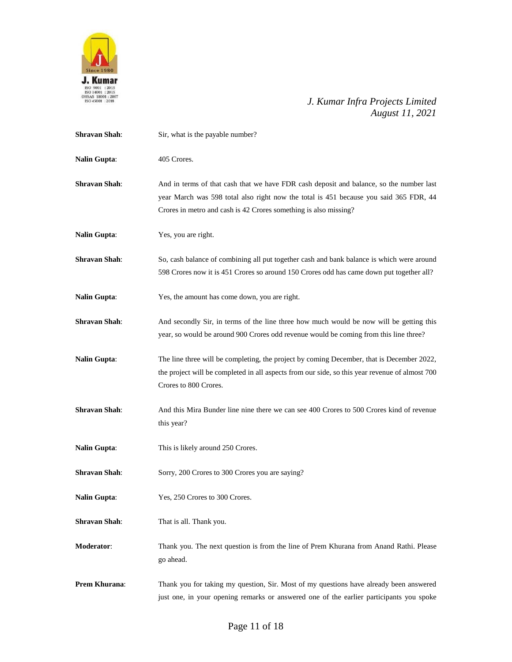

| <b>Shravan Shah:</b> | Sir, what is the payable number?                                                                                                                                                                                                                     |  |
|----------------------|------------------------------------------------------------------------------------------------------------------------------------------------------------------------------------------------------------------------------------------------------|--|
| <b>Nalin Gupta:</b>  | 405 Crores.                                                                                                                                                                                                                                          |  |
| <b>Shravan Shah:</b> | And in terms of that cash that we have FDR cash deposit and balance, so the number last<br>year March was 598 total also right now the total is 451 because you said 365 FDR, 44<br>Crores in metro and cash is 42 Crores something is also missing? |  |
| <b>Nalin Gupta:</b>  | Yes, you are right.                                                                                                                                                                                                                                  |  |
| <b>Shravan Shah:</b> | So, cash balance of combining all put together cash and bank balance is which were around<br>598 Crores now it is 451 Crores so around 150 Crores odd has came down put together all?                                                                |  |
| <b>Nalin Gupta:</b>  | Yes, the amount has come down, you are right.                                                                                                                                                                                                        |  |
| <b>Shravan Shah:</b> | And secondly Sir, in terms of the line three how much would be now will be getting this<br>year, so would be around 900 Crores odd revenue would be coming from this line three?                                                                     |  |
| <b>Nalin Gupta:</b>  | The line three will be completing, the project by coming December, that is December 2022,<br>the project will be completed in all aspects from our side, so this year revenue of almost 700<br>Crores to 800 Crores.                                 |  |
| <b>Shravan Shah:</b> | And this Mira Bunder line nine there we can see 400 Crores to 500 Crores kind of revenue<br>this year?                                                                                                                                               |  |
| <b>Nalin Gupta:</b>  | This is likely around 250 Crores.                                                                                                                                                                                                                    |  |
| <b>Shravan Shah:</b> | Sorry, 200 Crores to 300 Crores you are saying?                                                                                                                                                                                                      |  |
| <b>Nalin Gupta:</b>  | Yes, 250 Crores to 300 Crores.                                                                                                                                                                                                                       |  |
| <b>Shravan Shah:</b> | That is all. Thank you.                                                                                                                                                                                                                              |  |
| Moderator:           | Thank you. The next question is from the line of Prem Khurana from Anand Rathi. Please<br>go ahead.                                                                                                                                                  |  |
| Prem Khurana:        | Thank you for taking my question, Sir. Most of my questions have already been answered<br>just one, in your opening remarks or answered one of the earlier participants you spoke                                                                    |  |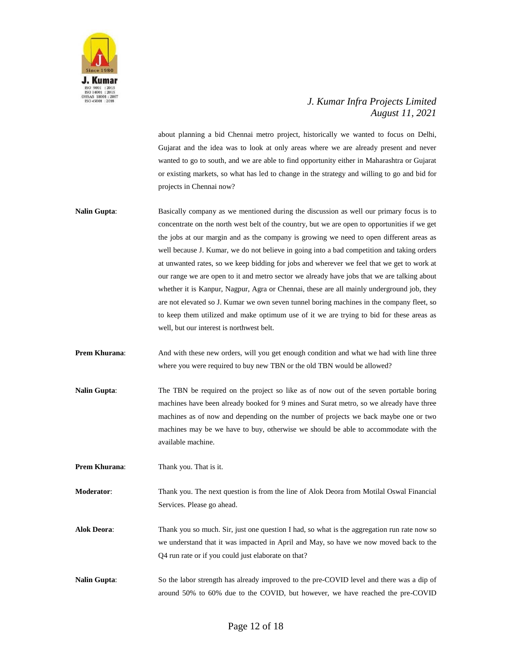

about planning a bid Chennai metro project, historically we wanted to focus on Delhi, Gujarat and the idea was to look at only areas where we are already present and never wanted to go to south, and we are able to find opportunity either in Maharashtra or Gujarat or existing markets, so what has led to change in the strategy and willing to go and bid for projects in Chennai now?

- **Nalin Gupta**: Basically company as we mentioned during the discussion as well our primary focus is to concentrate on the north west belt of the country, but we are open to opportunities if we get the jobs at our margin and as the company is growing we need to open different areas as well because J. Kumar, we do not believe in going into a bad competition and taking orders at unwanted rates, so we keep bidding for jobs and wherever we feel that we get to work at our range we are open to it and metro sector we already have jobs that we are talking about whether it is Kanpur, Nagpur, Agra or Chennai, these are all mainly underground job, they are not elevated so J. Kumar we own seven tunnel boring machines in the company fleet, so to keep them utilized and make optimum use of it we are trying to bid for these areas as well, but our interest is northwest belt.
- **Prem Khurana:** And with these new orders, will you get enough condition and what we had with line three where you were required to buy new TBN or the old TBN would be allowed?
- **Nalin Gupta**: The TBN be required on the project so like as of now out of the seven portable boring machines have been already booked for 9 mines and Surat metro, so we already have three machines as of now and depending on the number of projects we back maybe one or two machines may be we have to buy, otherwise we should be able to accommodate with the available machine.

**Prem Khurana:** Thank you. That is it.

**Moderator**: Thank you. The next question is from the line of Alok Deora from Motilal Oswal Financial Services. Please go ahead.

**Alok Deora**: Thank you so much. Sir, just one question I had, so what is the aggregation run rate now so we understand that it was impacted in April and May, so have we now moved back to the Q4 run rate or if you could just elaborate on that?

**Nalin Gupta**: So the labor strength has already improved to the pre-COVID level and there was a dip of around 50% to 60% due to the COVID, but however, we have reached the pre-COVID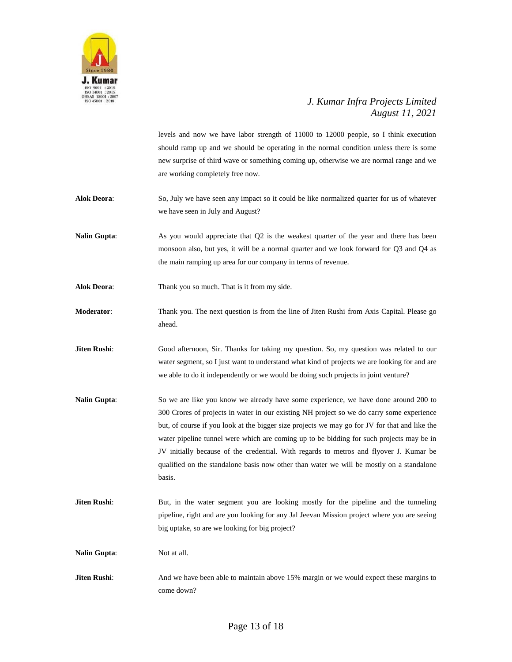

|                     | levels and now we have labor strength of 11000 to 12000 people, so I think execution<br>should ramp up and we should be operating in the normal condition unless there is some<br>new surprise of third wave or something coming up, otherwise we are normal range and we<br>are working completely free now.                                                                                                                                                                                                                                                                 |
|---------------------|-------------------------------------------------------------------------------------------------------------------------------------------------------------------------------------------------------------------------------------------------------------------------------------------------------------------------------------------------------------------------------------------------------------------------------------------------------------------------------------------------------------------------------------------------------------------------------|
| <b>Alok Deora:</b>  | So, July we have seen any impact so it could be like normalized quarter for us of whatever<br>we have seen in July and August?                                                                                                                                                                                                                                                                                                                                                                                                                                                |
| <b>Nalin Gupta:</b> | As you would appreciate that Q2 is the weakest quarter of the year and there has been<br>monsoon also, but yes, it will be a normal quarter and we look forward for Q3 and Q4 as<br>the main ramping up area for our company in terms of revenue.                                                                                                                                                                                                                                                                                                                             |
| <b>Alok Deora:</b>  | Thank you so much. That is it from my side.                                                                                                                                                                                                                                                                                                                                                                                                                                                                                                                                   |
| Moderator:          | Thank you. The next question is from the line of Jiten Rushi from Axis Capital. Please go<br>ahead.                                                                                                                                                                                                                                                                                                                                                                                                                                                                           |
| Jiten Rushi:        | Good afternoon, Sir. Thanks for taking my question. So, my question was related to our<br>water segment, so I just want to understand what kind of projects we are looking for and are<br>we able to do it independently or we would be doing such projects in joint venture?                                                                                                                                                                                                                                                                                                 |
| <b>Nalin Gupta:</b> | So we are like you know we already have some experience, we have done around 200 to<br>300 Crores of projects in water in our existing NH project so we do carry some experience<br>but, of course if you look at the bigger size projects we may go for JV for that and like the<br>water pipeline tunnel were which are coming up to be bidding for such projects may be in<br>JV initially because of the credential. With regards to metros and flyover J. Kumar be<br>qualified on the standalone basis now other than water we will be mostly on a standalone<br>basis. |
| Jiten Rushi:        | But, in the water segment you are looking mostly for the pipeline and the tunneling<br>pipeline, right and are you looking for any Jal Jeevan Mission project where you are seeing<br>big uptake, so are we looking for big project?                                                                                                                                                                                                                                                                                                                                          |
| <b>Nalin Gupta:</b> | Not at all.                                                                                                                                                                                                                                                                                                                                                                                                                                                                                                                                                                   |
| Jiten Rushi:        | And we have been able to maintain above 15% margin or we would expect these margins to<br>come down?                                                                                                                                                                                                                                                                                                                                                                                                                                                                          |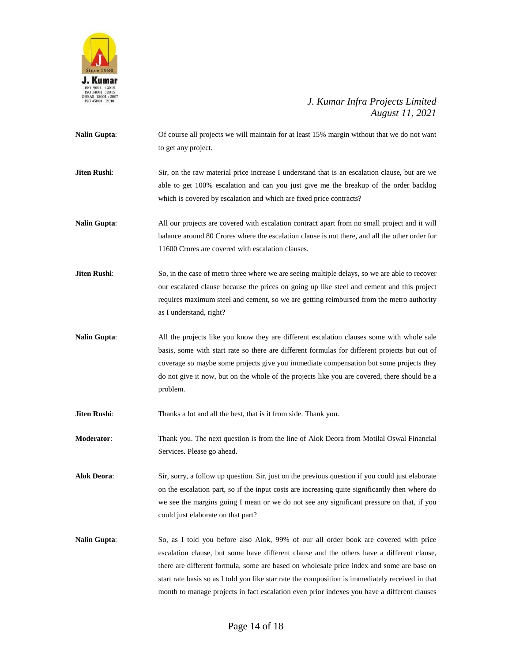

- **Nalin Gupta**: Of course all projects we will maintain for at least 15% margin without that we do not want to get any project.
- **Jiten Rushi:** Sir, on the raw material price increase I understand that is an escalation clause, but are we able to get 100% escalation and can you just give me the breakup of the order backlog which is covered by escalation and which are fixed price contracts?
- **Nalin Gupta**: All our projects are covered with escalation contract apart from no small project and it will balance around 80 Crores where the escalation clause is not there, and all the other order for 11600 Crores are covered with escalation clauses.
- **Jiten Rushi:** So, in the case of metro three where we are seeing multiple delays, so we are able to recover our escalated clause because the prices on going up like steel and cement and this project requires maximum steel and cement, so we are getting reimbursed from the metro authority as I understand, right?
- **Nalin Gupta:** All the projects like you know they are different escalation clauses some with whole sale basis, some with start rate so there are different formulas for different projects but out of coverage so maybe some projects give you immediate compensation but some projects they do not give it now, but on the whole of the projects like you are covered, there should be a problem.
- **Jiten Rushi:** Thanks a lot and all the best, that is it from side. Thank you.

**Moderator**: Thank you. The next question is from the line of Alok Deora from Motilal Oswal Financial Services. Please go ahead.

- **Alok Deora**: Sir, sorry, a follow up question. Sir, just on the previous question if you could just elaborate on the escalation part, so if the input costs are increasing quite significantly then where do we see the margins going I mean or we do not see any significant pressure on that, if you could just elaborate on that part?
- **Nalin Gupta**: So, as I told you before also Alok, 99% of our all order book are covered with price escalation clause, but some have different clause and the others have a different clause, there are different formula, some are based on wholesale price index and some are base on start rate basis so as I told you like star rate the composition is immediately received in that month to manage projects in fact escalation even prior indexes you have a different clauses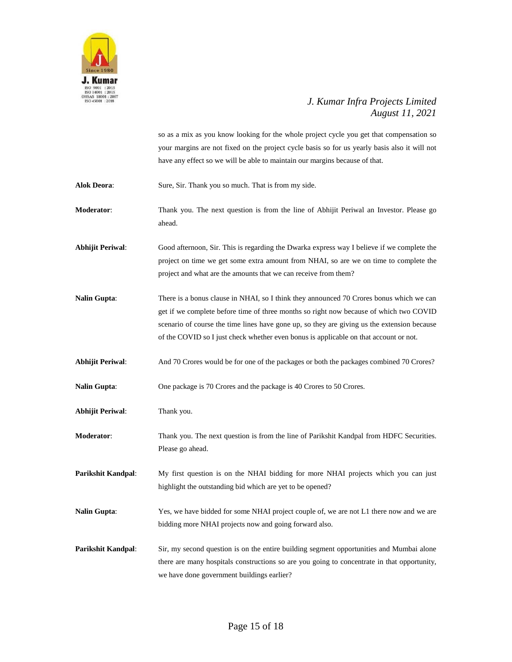

so as a mix as you know looking for the whole project cycle you get that compensation so your margins are not fixed on the project cycle basis so for us yearly basis also it will not have any effect so we will be able to maintain our margins because of that.

Alok Deora: Sure, Sir. Thank you so much. That is from my side.

**Moderator**: Thank you. The next question is from the line of Abhijit Periwal an Investor. Please go ahead.

**Abhijit Periwal**: Good afternoon, Sir. This is regarding the Dwarka express way I believe if we complete the project on time we get some extra amount from NHAI, so are we on time to complete the project and what are the amounts that we can receive from them?

**Nalin Gupta:** There is a bonus clause in NHAI, so I think they announced 70 Crores bonus which we can get if we complete before time of three months so right now because of which two COVID scenario of course the time lines have gone up, so they are giving us the extension because of the COVID so I just check whether even bonus is applicable on that account or not.

**Abhijit Periwal**: And 70 Crores would be for one of the packages or both the packages combined 70 Crores?

Nalin Gupta: One package is 70 Crores and the package is 40 Crores to 50 Crores.

**Abhijit Periwal**: Thank you.

**Moderator**: Thank you. The next question is from the line of Parikshit Kandpal from HDFC Securities. Please go ahead.

**Parikshit Kandpal:** My first question is on the NHAI bidding for more NHAI projects which you can just highlight the outstanding bid which are yet to be opened?

**Nalin Gupta**: Yes, we have bidded for some NHAI project couple of, we are not L1 there now and we are bidding more NHAI projects now and going forward also.

**Parikshit Kandpal:** Sir, my second question is on the entire building segment opportunities and Mumbai alone there are many hospitals constructions so are you going to concentrate in that opportunity, we have done government buildings earlier?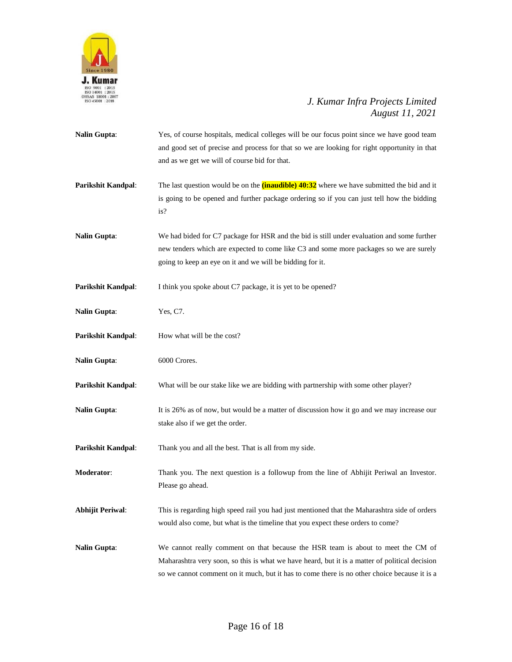

**Nalin Gupta:** Yes, of course hospitals, medical colleges will be our focus point since we have good team and good set of precise and process for that so we are looking for right opportunity in that and as we get we will of course bid for that. **Parikshit Kandpal:** The last question would be on the **(inaudible)** 40:32 where we have submitted the bid and it is going to be opened and further package ordering so if you can just tell how the bidding is? **Nalin Gupta**: We had bided for C7 package for HSR and the bid is still under evaluation and some further new tenders which are expected to come like C3 and some more packages so we are surely going to keep an eye on it and we will be bidding for it. **Parikshit Kandpal:** I think you spoke about C7 package, it is yet to be opened? **Nalin Gupta**: Yes, C7. **Parikshit Kandpal:** How what will be the cost? **Nalin Gupta**: 6000 Crores. **Parikshit Kandpal**: What will be our stake like we are bidding with partnership with some other player? **Nalin Gupta**: It is 26% as of now, but would be a matter of discussion how it go and we may increase our stake also if we get the order. **Parikshit Kandpal:** Thank you and all the best. That is all from my side. **Moderator**: Thank you. The next question is a followup from the line of Abhijit Periwal an Investor. Please go ahead. **Abhijit Periwal**: This is regarding high speed rail you had just mentioned that the Maharashtra side of orders would also come, but what is the timeline that you expect these orders to come? **Nalin Gupta**: We cannot really comment on that because the HSR team is about to meet the CM of Maharashtra very soon, so this is what we have heard, but it is a matter of political decision so we cannot comment on it much, but it has to come there is no other choice because it is a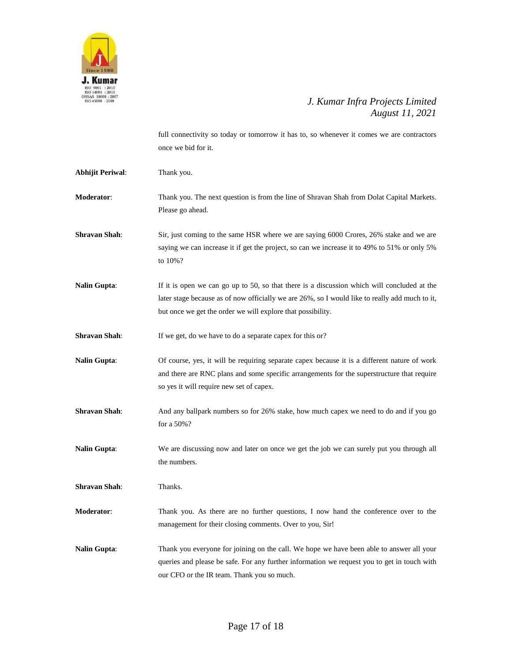

full connectivity so today or tomorrow it has to, so whenever it comes we are contractors once we bid for it.

| Abhijit Periwal: | Thank you. |
|------------------|------------|
|                  |            |

- **Moderator**: Thank you. The next question is from the line of Shravan Shah from Dolat Capital Markets. Please go ahead.
- **Shravan Shah**: Sir, just coming to the same HSR where we are saying 6000 Crores, 26% stake and we are saying we can increase it if get the project, so can we increase it to 49% to 51% or only 5% to 10%?
- **Nalin Gupta**: If it is open we can go up to 50, so that there is a discussion which will concluded at the later stage because as of now officially we are 26%, so I would like to really add much to it, but once we get the order we will explore that possibility.
- **Shravan Shah:** If we get, do we have to do a separate capex for this or?
- **Nalin Gupta**: Of course, yes, it will be requiring separate capex because it is a different nature of work and there are RNC plans and some specific arrangements for the superstructure that require so yes it will require new set of capex.
- **Shravan Shah**: And any ballpark numbers so for 26% stake, how much capex we need to do and if you go for a 50%?
- **Nalin Gupta**: We are discussing now and later on once we get the job we can surely put you through all the numbers.

**Shravan Shah**: Thanks.

**Moderator**: Thank you. As there are no further questions, I now hand the conference over to the management for their closing comments. Over to you, Sir!

**Nalin Gupta**: Thank you everyone for joining on the call. We hope we have been able to answer all your queries and please be safe. For any further information we request you to get in touch with our CFO or the IR team. Thank you so much.